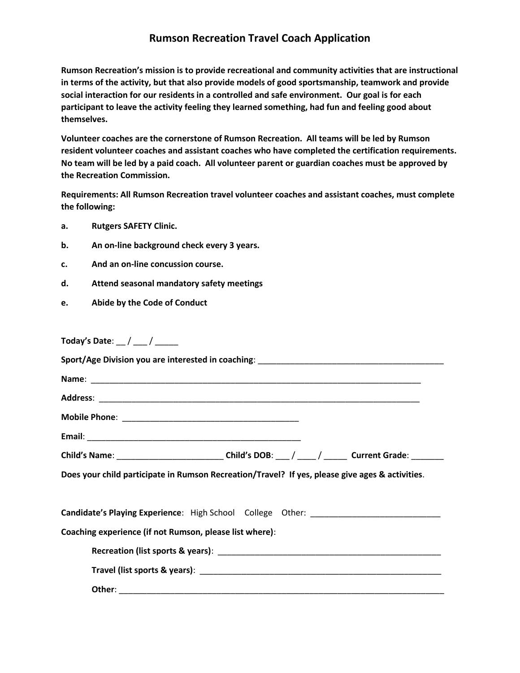## **Rumson Recreation Travel Coach Application**

**Rumson Recreation's mission is to provide recreational and community activities that are instructional in terms of the activity, but that also provide models of good sportsmanship, teamwork and provide social interaction for our residents in a controlled and safe environment. Our goal is for each participant to leave the activity feeling they learned something, had fun and feeling good about themselves.** 

**Volunteer coaches are the cornerstone of Rumson Recreation. All teams will be led by Rumson resident volunteer coaches and assistant coaches who have completed the certification requirements. No team will be led by a paid coach. All volunteer parent or guardian coaches must be approved by the Recreation Commission.** 

**Requirements: All Rumson Recreation travel volunteer coaches and assistant coaches, must complete the following:**

- **a. Rutgers SAFETY Clinic.**
- **b. An on-line background check every 3 years.**
- **c. And an on-line concussion course.**
- **d. Attend seasonal mandatory safety meetings**
- **e. Abide by the Code of Conduct**

**Today's Date**: \_\_ / \_\_\_ / \_\_\_\_\_

|                                                                                                 | Child's Name: ______________________________Child's DOB: ___/ ____/ _______ Current Grade: ________ |  |  |
|-------------------------------------------------------------------------------------------------|-----------------------------------------------------------------------------------------------------|--|--|
| Does your child participate in Rumson Recreation/Travel? If yes, please give ages & activities. |                                                                                                     |  |  |
| Candidate's Playing Experience: High School College Other: _____________________                |                                                                                                     |  |  |
| Coaching experience (if not Rumson, please list where):                                         |                                                                                                     |  |  |
|                                                                                                 |                                                                                                     |  |  |
|                                                                                                 |                                                                                                     |  |  |
|                                                                                                 |                                                                                                     |  |  |